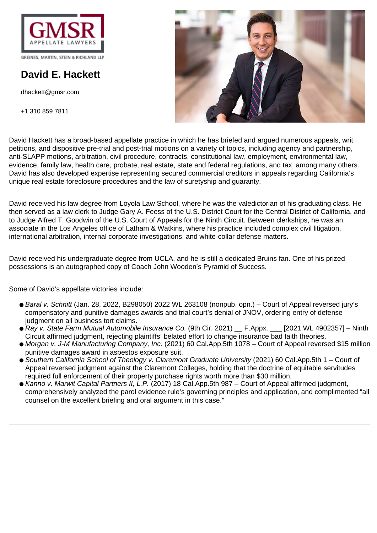

GREINES, MARTIN, STEIN & RICHLAND LLP

# **David E. Hackett**

dhackett@gmsr.com

+1 310 859 7811



David Hackett has a broad-based appellate practice in which he has briefed and argued numerous appeals, writ petitions, and dispositive pre-trial and post-trial motions on a variety of topics, including agency and partnership, anti-SLAPP motions, arbitration, civil procedure, contracts, constitutional law, employment, environmental law, evidence, family law, health care, probate, real estate, state and federal regulations, and tax, among many others. David has also developed expertise representing secured commercial creditors in appeals regarding California's unique real estate foreclosure procedures and the law of suretyship and guaranty.

David received his law degree from Loyola Law School, where he was the valedictorian of his graduating class. He then served as a law clerk to Judge Gary A. Feess of the U.S. District Court for the Central District of California, and to Judge Alfred T. Goodwin of the U.S. Court of Appeals for the Ninth Circuit. Between clerkships, he was an associate in the Los Angeles office of Latham & Watkins, where his practice included complex civil litigation, international arbitration, internal corporate investigations, and white-collar defense matters.

David received his undergraduate degree from UCLA, and he is still a dedicated Bruins fan. One of his prized possessions is an autographed copy of Coach John Wooden's Pyramid of Success.

Some of David's appellate victories include:

- Baral v. Schnitt (Jan. 28, 2022, B298050) 2022 WL 263108 (nonpub. opn.) Court of Appeal reversed jury's compensatory and punitive damages awards and trial court's denial of JNOV, ordering entry of defense judgment on all business tort claims.
- Ray v. State Farm Mutual Automobile Insurance Co. (9th Cir. 2021) F.Appx. [2021 WL 4902357] Ninth Circuit affirmed judgment, rejecting plaintiffs' belated effort to change insurance bad faith theories.
- Morgan v. J-M Manufacturing Company, Inc. (2021) 60 Cal.App.5th 1078 Court of Appeal reversed \$15 million punitive damages award in asbestos exposure suit.
- Southern California School of Theology v. Claremont Graduate University (2021) 60 Cal.App.5th 1 Court of Appeal reversed judgment against the Claremont Colleges, holding that the doctrine of equitable servitudes required full enforcement of their property purchase rights worth more than \$30 million.
- Kanno v. Marwit Capital Partners II, L.P. (2017) 18 Cal.App.5th 987 Court of Appeal affirmed judgment, comprehensively analyzed the parol evidence rule's governing principles and application, and complimented "all counsel on the excellent briefing and oral argument in this case."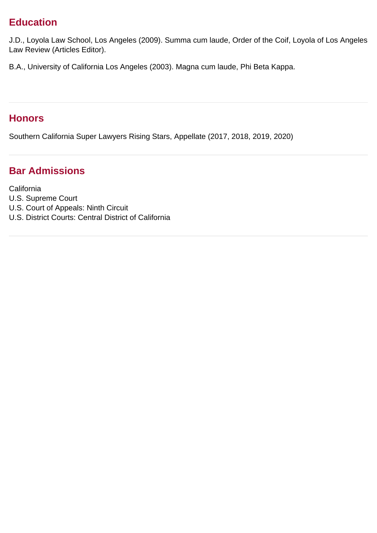### **Education**

J.D., Loyola Law School, Los Angeles (2009). Summa cum laude, Order of the Coif, Loyola of Los Angeles Law Review (Articles Editor).

B.A., University of California Los Angeles (2003). Magna cum laude, Phi Beta Kappa.

#### **Honors**

Southern California Super Lawyers Rising Stars, Appellate (2017, 2018, 2019, 2020)

### **Bar Admissions**

**California** U.S. Supreme Court U.S. Court of Appeals: Ninth Circuit U.S. District Courts: Central District of California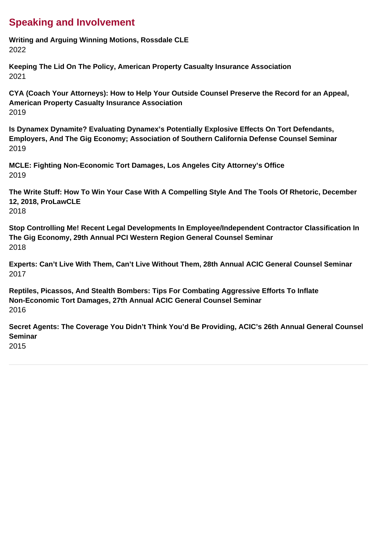## **Speaking and Involvement**

**Writing and Arguing Winning Motions, Rossdale CLE** 2022

**Keeping The Lid On The Policy, American Property Casualty Insurance Association** 2021

**CYA (Coach Your Attorneys): How to Help Your Outside Counsel Preserve the Record for an Appeal, American Property Casualty Insurance Association** 2019

**Is Dynamex Dynamite? Evaluating Dynamex's Potentially Explosive Effects On Tort Defendants, Employers, And The Gig Economy; Association of Southern California Defense Counsel Seminar** 2019

**MCLE: Fighting Non-Economic Tort Damages, Los Angeles City Attorney's Office** 2019

**The Write Stuff: How To Win Your Case With A Compelling Style And The Tools Of Rhetoric, December 12, 2018, ProLawCLE** 2018

**Stop Controlling Me! Recent Legal Developments In Employee/Independent Contractor Classification In The Gig Economy, 29th Annual PCI Western Region General Counsel Seminar** 2018

**Experts: Can't Live With Them, Can't Live Without Them, 28th Annual ACIC General Counsel Seminar** 2017

**Reptiles, Picassos, And Stealth Bombers: Tips For Combating Aggressive Efforts To Inflate Non-Economic Tort Damages, 27th Annual ACIC General Counsel Seminar** 2016

**Secret Agents: The Coverage You Didn't Think You'd Be Providing, ACIC's 26th Annual General Counsel Seminar**

2015